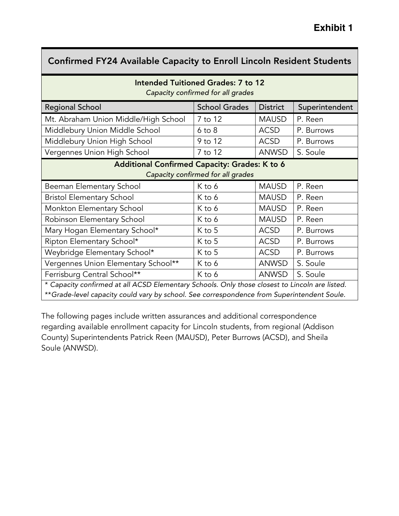| <b>Confirmed FY24 Available Capacity to Enroll Lincoln Resident Students</b>                   |                      |                 |                |
|------------------------------------------------------------------------------------------------|----------------------|-----------------|----------------|
| <b>Intended Tuitioned Grades: 7 to 12</b><br>Capacity confirmed for all grades                 |                      |                 |                |
| <b>Regional School</b>                                                                         | <b>School Grades</b> | <b>District</b> | Superintendent |
| Mt. Abraham Union Middle/High School                                                           | 7 to 12              | <b>MAUSD</b>    | P. Reen        |
| Middlebury Union Middle School                                                                 | $6$ to $8$           | <b>ACSD</b>     | P. Burrows     |
| Middlebury Union High School                                                                   | 9 to 12              | <b>ACSD</b>     | P. Burrows     |
| Vergennes Union High School                                                                    | 7 to 12              | <b>ANWSD</b>    | S. Soule       |
| Additional Confirmed Capacity: Grades: K to 6<br>Capacity confirmed for all grades             |                      |                 |                |
| Beeman Elementary School                                                                       | K to 6               | <b>MAUSD</b>    | P. Reen        |
| <b>Bristol Elementary School</b>                                                               | K to 6               | <b>MAUSD</b>    | P. Reen        |
| Monkton Elementary School                                                                      | K to 6               | <b>MAUSD</b>    | P. Reen        |
| Robinson Elementary School                                                                     | K to 6               | <b>MAUSD</b>    | P. Reen        |
| Mary Hogan Elementary School*                                                                  | K to 5               | <b>ACSD</b>     | P. Burrows     |
| Ripton Elementary School*                                                                      | K to 5               | <b>ACSD</b>     | P. Burrows     |
| Weybridge Elementary School*                                                                   | K to 5               | <b>ACSD</b>     | P. Burrows     |
| Vergennes Union Elementary School**                                                            | K to 6               | <b>ANWSD</b>    | S. Soule       |
| Ferrisburg Central School**                                                                    | K to 6               | <b>ANWSD</b>    | S. Soule       |
| * Capacity confirmed at all ACSD Elementary Schools. Only those closest to Lincoln are listed. |                      |                 |                |
| **Grade-level capacity could vary by school. See correspondence from Superintendent Soule.     |                      |                 |                |

The following pages include written assurances and additional correspondence regarding available enrollment capacity for Lincoln students, from regional (Addison County) Superintendents Patrick Reen (MAUSD), Peter Burrows (ACSD), and Sheila Soule (ANWSD).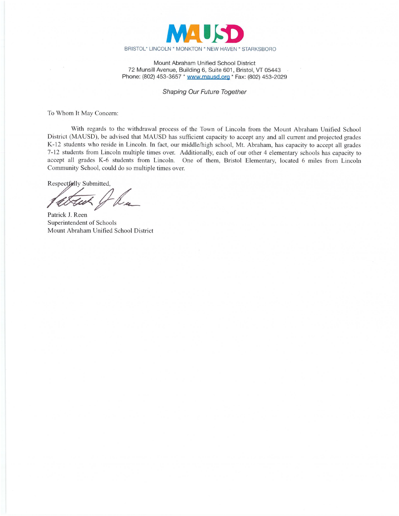

Mount Abraham Unified School District 72 Munsill Avenue, Building 6, Suite 601, Bristol, VT 05443 Phone: (802) 453-3657 \* www.mausd.org \* Fax: (802) 453-2029

Shaping Our Future Together

To Whom It May Concern:

With regards to the withdrawal process of the Town of Lincoln from the Mount Abraham Unified School District (MAUSD), be advised that MAUSD has sufficient capacity to accept any and all current and projected grades K-12 students who reside in Lincoln. In fact, our middle/high school, Mt. Abraham, has capacity to accept all grades 7-12 students from Lincoln multiple times over. Additionally, each of our other 4 elementary schools has capacity to accept all grades K-6 students from Lincoln. One of them, Bristol Elementary, located 6 miles from Lincoln Community School, could do so multiple times over.

Respectfully Submitted,

Patrick J. Reen Superintendent of Schools Mount Abraham Unified School District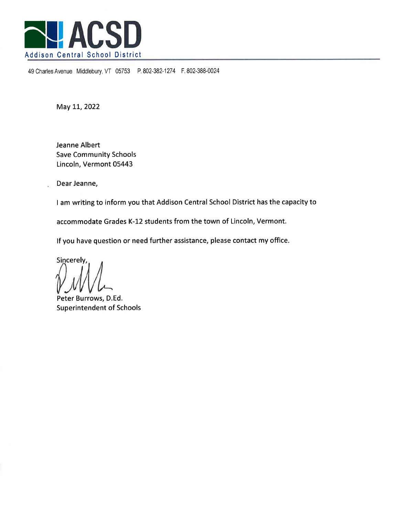

49 Charles Avenue Middlebury, VT 05753 P. 802-382-1274 F. 802-388-0024

May 11, 2022

Jeanne Albert Save Community Schools Lincoln, Vermont 05443

Dear Jeanne,

I am writing to inform you that Addison Central School District has the capacity to

accommodate Grades K-12 students from the town of Lincoln, Vermont.

lf you have question or need further assistance, please contact my office

Sincerely,

Peter Burrows, D.Ed. Superintendent of Schools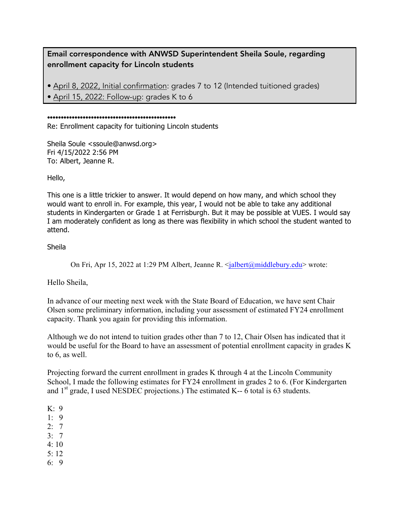## Email correspondence with ANWSD Superintendent Sheila Soule, regarding enrollment capacity for Lincoln students

• April 8, 2022, Initial confirmation: grades 7 to 12 (Intended tuitioned grades) • April 15, 2022: Follow-up: grades K to 6

## **•••••••••••••••••••••••••••••••••••••••••••••••**

Re: Enrollment capacity for tuitioning Lincoln students

Sheila Soule <ssoule@anwsd.org> Fri 4/15/2022 2:56 PM To: Albert, Jeanne R.

Hello,

This one is a little trickier to answer. It would depend on how many, and which school they would want to enroll in. For example, this year, I would not be able to take any additional students in Kindergarten or Grade 1 at Ferrisburgh. But it may be possible at VUES. I would say I am moderately confident as long as there was flexibility in which school the student wanted to attend.

Sheila

On Fri, Apr 15, 2022 at 1:29 PM Albert, Jeanne R. <ialbert@middlebury.edu> wrote:

Hello Sheila,

In advance of our meeting next week with the State Board of Education, we have sent Chair Olsen some preliminary information, including your assessment of estimated FY24 enrollment capacity. Thank you again for providing this information.

Although we do not intend to tuition grades other than 7 to 12, Chair Olsen has indicated that it would be useful for the Board to have an assessment of potential enrollment capacity in grades K to 6, as well.

Projecting forward the current enrollment in grades K through 4 at the Lincoln Community School, I made the following estimates for FY24 enrollment in grades 2 to 6. (For Kindergarten and  $1<sup>st</sup>$  grade, I used NESDEC projections.) The estimated K-- 6 total is 63 students.

- K: 9
- 1: 9
- 2: 7
- $3 \cdot 7$
- $4 \cdot 10$
- 5: 12
- 6: 9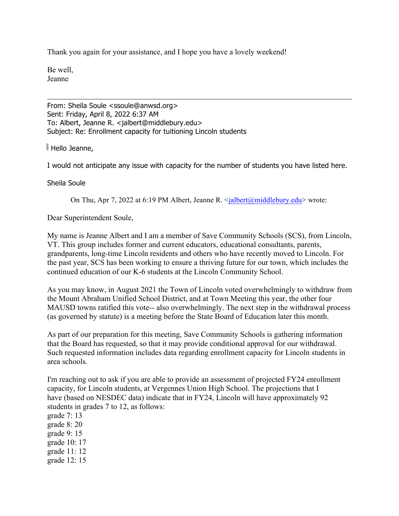Thank you again for your assistance, and I hope you have a lovely weekend!

Be well, Jeanne

From: Sheila Soule <ssoule@anwsd.org> Sent: Friday, April 8, 2022 6:37 AM To: Albert, Jeanne R. <ialbert@middlebury.edu> Subject: Re: Enrollment capacity for tuitioning Lincoln students

Hello Jeanne,

I would not anticipate any issue with capacity for the number of students you have listed here.

Sheila Soule

On Thu, Apr 7, 2022 at 6:19 PM Albert, Jeanne R.  $\leq$ albert@middlebury.edu> wrote:

Dear Superintendent Soule,

My name is Jeanne Albert and I am a member of Save Community Schools (SCS), from Lincoln, VT. This group includes former and current educators, educational consultants, parents, grandparents, long-time Lincoln residents and others who have recently moved to Lincoln. For the past year, SCS has been working to ensure a thriving future for our town, which includes the continued education of our K-6 students at the Lincoln Community School.

As you may know, in August 2021 the Town of Lincoln voted overwhelmingly to withdraw from the Mount Abraham Unified School District, and at Town Meeting this year, the other four MAUSD towns ratified this vote-- also overwhelmingly. The next step in the withdrawal process (as governed by statute) is a meeting before the State Board of Education later this month.

As part of our preparation for this meeting, Save Community Schools is gathering information that the Board has requested, so that it may provide conditional approval for our withdrawal. Such requested information includes data regarding enrollment capacity for Lincoln students in area schools.

I'm reaching out to ask if you are able to provide an assessment of projected FY24 enrollment capacity, for Lincoln students, at Vergennes Union High School. The projections that I have (based on NESDEC data) indicate that in FY24, Lincoln will have approximately 92 students in grades 7 to 12, as follows:

grade 7: 13 grade 8: 20 grade 9: 15 grade 10: 17 grade 11: 12 grade 12: 15